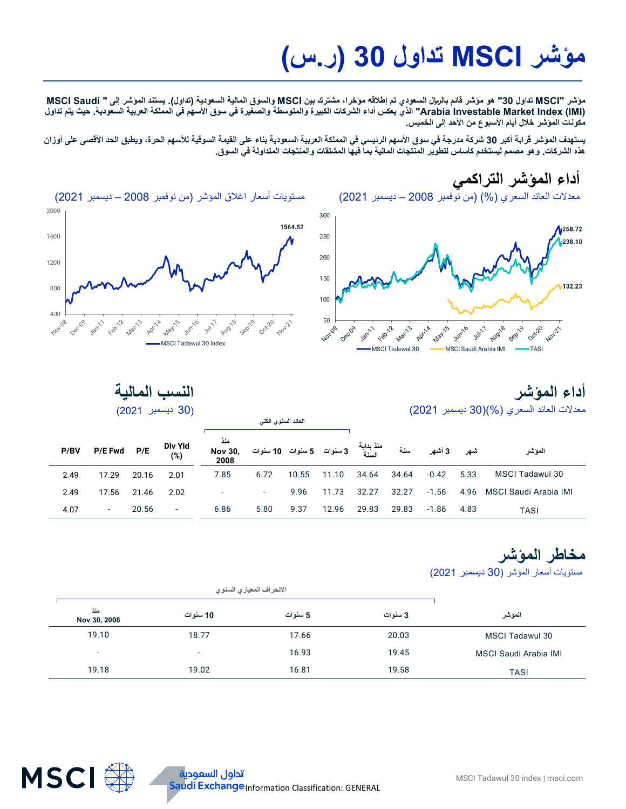# **مؤشر MSCI تداول 30 (ر.س)**

**مؤشر "MSCI تداول 30" ھو مؤشر قائم بالریال السعودي تم إطلاقھ مؤخرا** ، **مشترك بین MSCI والسوق المالیة السعودیة (تداول). یستند المؤشر إلى " Saudi MSCI (IMI (Index Market Investable Arabia "الذي یعكس أداء الشركات الكبیرة والمتوسطة والصغیرة في سوق الأسھم في المملكة العربیة السعودیة. حیث یتم تداول مكونات المؤشر خلال أیام الأسبوع من الأحد إلى الخمیس.** 

**یستھدف المؤشر قرابة أكبر 30 شركة مدرجة في سوق الأسھم الرئیسي في المملكة العربیة السعودیة بناء على القیمة السوقیة للأسھم الحرة، ویطبق الحد الأقصى على أوزان ھذه الشركات. وھو مصمم لیستخدم كأساس لتطویر المنتجات المالیة بما فیھا المشتقات والمنتجات المتداولة في السوق.**

> **أداء المؤشر التراكمي** معدلات العائد السعري (%) (من نوفمبر 2008 – دیسمبر 2021)





### **أداء المؤشر**  معدلات العائد السعري (%)(30 دیسمبر 2021)

| النسب المالية    |
|------------------|
| (30 ديسمبر 2021) |

| P/BV | <b>P/E Fwd</b> | P/E   | Div Yld<br>$(\%)$ | منذ<br><b>Nov 30.</b><br>2008 |        |       |       |       | سنة   | 3 أشهر  | شهر  | الموشر                     |
|------|----------------|-------|-------------------|-------------------------------|--------|-------|-------|-------|-------|---------|------|----------------------------|
| 2.49 | 17.29          | 20.16 | 2.01              | 7.85                          | 6.72   | 10.55 | 11.10 | 34.64 | 34.64 | -0.42   | 5.33 | MSCI Tadawul 30            |
| 2.49 | 17.56          | 21.46 | 2.02              |                               | $\sim$ | 9.96  | 11.73 | 32.27 | 32.27 | $-1.56$ |      | 4.96 MSCI Saudi Arabia IMI |
| 4.07 | $\sim$         | 20.56 | ۰.                | 6.86                          | 5.80   | 9.37  | 12.96 | 29.83 | 29.83 | -1.86   | 4.83 | <b>TASI</b>                |

**العائد السنوي الكلي**

**مخاطر المؤشر** مستویات أسعار المؤشر (30 دیسمبر 2021)

| منذ<br>Nov 30, 2008      | 10 سنوات                 | 5 سنوات | 3 سنوات | المؤشر                |  |
|--------------------------|--------------------------|---------|---------|-----------------------|--|
| 19.10                    | 18.77                    | 17.66   | 20.03   | MSCI Tadawul 30       |  |
| $\overline{\phantom{0}}$ | $\overline{\phantom{0}}$ | 16.93   | 19.45   | MSCI Saudi Arabia IMI |  |
| 19.18                    | 19.02                    | 16.81   | 19.58   | <b>TASI</b>           |  |